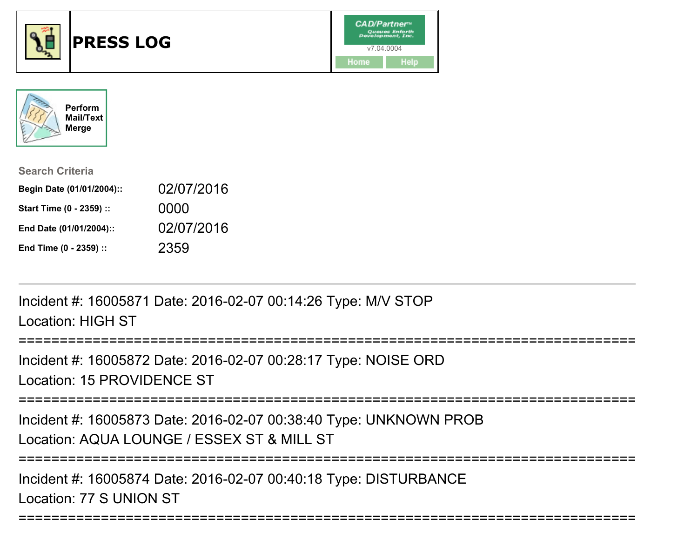



| <b>Search Criteria</b>    |            |
|---------------------------|------------|
| Begin Date (01/01/2004):: | 02/07/2016 |
| Start Time (0 - 2359) ::  | 0000       |
| End Date (01/01/2004)::   | 02/07/2016 |
| End Time (0 - 2359) ::    | 2359       |

Incident #: 16005871 Date: 2016-02-07 00:14:26 Type: M/V STOPLocation: HIGH ST

============================== Incident #: 16005872 Date: 2016-02-07 00:28:17 Type: NOISE ORDLocation: 15 PROVIDENCE ST===========================================================================

Incident #: 16005873 Date: 2016-02-07 00:38:40 Type: UNKNOWN PROBLocation: AQUA LOUNGE / ESSEX ST & MILL ST

===========================================================================

===========================================================================

Incident #: 16005874 Date: 2016-02-07 00:40:18 Type: DISTURBANCELocation: 77 S UNION ST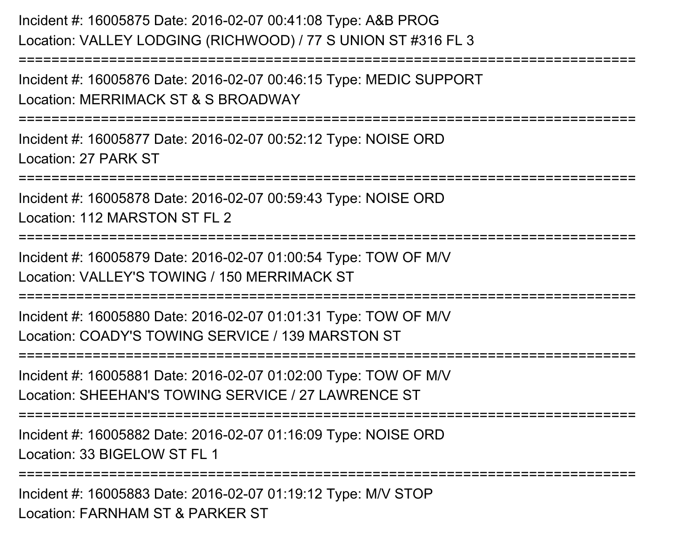Incident #: 16005875 Date: 2016-02-07 00:41:08 Type: A&B PROG Location: VALLEY LODGING (RICHWOOD) / 77 S UNION ST #316 FL 3===========================================================================Incident #: 16005876 Date: 2016-02-07 00:46:15 Type: MEDIC SUPPORTLocation: MERRIMACK ST & S BROADWAY===========================================================================Incident #: 16005877 Date: 2016-02-07 00:52:12 Type: NOISE ORDLocation: 27 PARK ST===========================================================================Incident #: 16005878 Date: 2016-02-07 00:59:43 Type: NOISE ORDLocation: 112 MARSTON ST FL 2===========================================================================Incident #: 16005879 Date: 2016-02-07 01:00:54 Type: TOW OF M/VLocation: VALLEY'S TOWING / 150 MERRIMACK ST===========================================================================Incident #: 16005880 Date: 2016-02-07 01:01:31 Type: TOW OF M/VLocation: COADY'S TOWING SERVICE / 139 MARSTON ST===========================================================================Incident #: 16005881 Date: 2016-02-07 01:02:00 Type: TOW OF M/VLocation: SHEEHAN'S TOWING SERVICE / 27 LAWRENCE ST===========================================================================Incident #: 16005882 Date: 2016-02-07 01:16:09 Type: NOISE ORDLocation: 33 BIGELOW ST FL 1===========================================================================Incident #: 16005883 Date: 2016-02-07 01:19:12 Type: M/V STOP

Location: FARNHAM ST & PARKER ST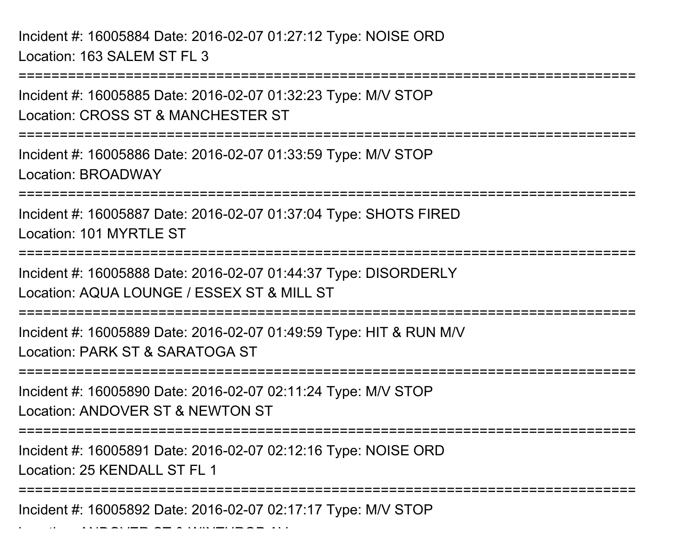Incident #: 16005884 Date: 2016-02-07 01:27:12 Type: NOISE ORDLocation: 163 SALEM ST FL 3

Location: ANDOVER ST & WINTHROP AV

===========================================================================Incident #: 16005885 Date: 2016-02-07 01:32:23 Type: M/V STOPLocation: CROSS ST & MANCHESTER ST===========================================================================Incident #: 16005886 Date: 2016-02-07 01:33:59 Type: M/V STOPLocation: BROADWAY===========================================================================Incident #: 16005887 Date: 2016-02-07 01:37:04 Type: SHOTS FIREDLocation: 101 MYRTLE ST ===================== Incident #: 16005888 Date: 2016-02-07 01:44:37 Type: DISORDERLYLocation: AQUA LOUNGE / ESSEX ST & MILL ST===========================================================================Incident #: 16005889 Date: 2016-02-07 01:49:59 Type: HIT & RUN M/VLocation: PARK ST & SARATOGA ST===========================================================================Incident #: 16005890 Date: 2016-02-07 02:11:24 Type: M/V STOPLocation: ANDOVER ST & NEWTON ST===========================================================================Incident #: 16005891 Date: 2016-02-07 02:12:16 Type: NOISE ORDLocation: 25 KENDALL ST FL 1===========================================================================Incident #: 16005892 Date: 2016-02-07 02:17:17 Type: M/V STOP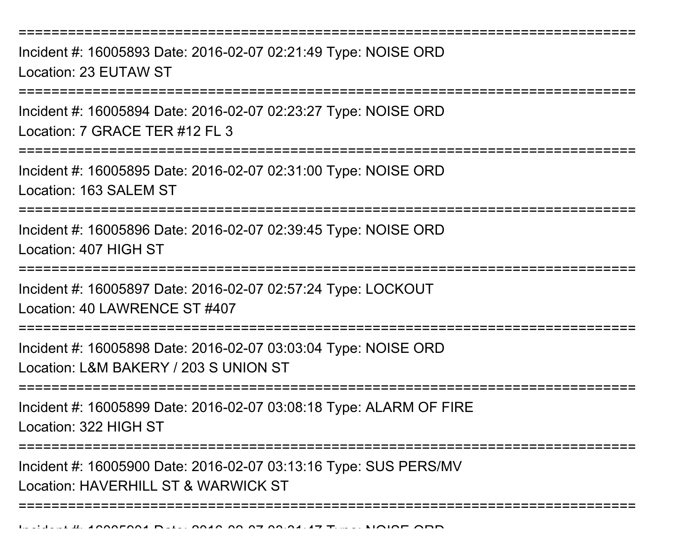===========================================================================Incident #: 16005893 Date: 2016-02-07 02:21:49 Type: NOISE ORDLocation: 23 EUTAW ST===========================================================================Incident #: 16005894 Date: 2016-02-07 02:23:27 Type: NOISE ORDLocation: 7 GRACE TER #12 FL 3 ===========================================================================Incident #: 16005895 Date: 2016-02-07 02:31:00 Type: NOISE ORDLocation: 163 SALEM ST===========================================================================Incident #: 16005896 Date: 2016-02-07 02:39:45 Type: NOISE ORDLocation: 407 HIGH ST===========================================================================Incident #: 16005897 Date: 2016-02-07 02:57:24 Type: LOCKOUTLocation: 40 LAWRENCE ST #407===========================================================================Incident #: 16005898 Date: 2016-02-07 03:03:04 Type: NOISE ORDLocation: L&M BAKERY / 203 S UNION ST===========================================================================Incident #: 16005899 Date: 2016-02-07 03:08:18 Type: ALARM OF FIRELocation: 322 HIGH ST================== Incident #: 16005900 Date: 2016-02-07 03:13:16 Type: SUS PERS/MVLocation: HAVERHILL ST & WARWICK ST===========================================================================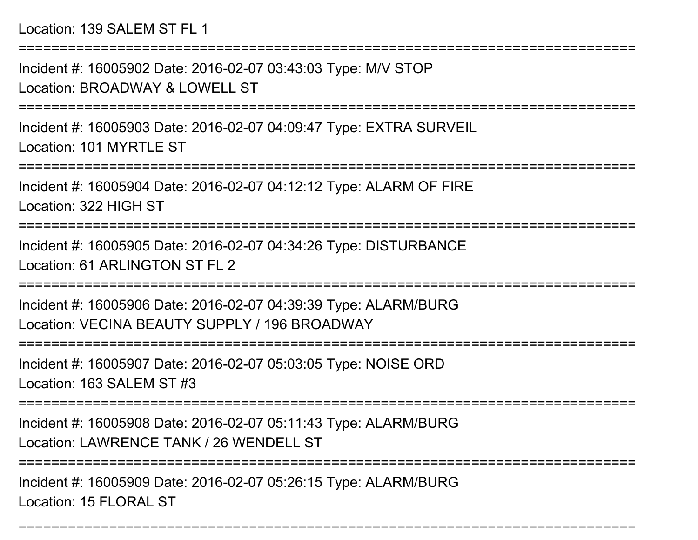Location: 139 SALEM ST FL 1

===========================================================================

Incident #: 16005902 Date: 2016-02-07 03:43:03 Type: M/V STOPLocation: BROADWAY & LOWELL ST

===========================================================================

Incident #: 16005903 Date: 2016-02-07 04:09:47 Type: EXTRA SURVEILLocation: 101 MYRTLE ST

===========================================================================

Incident #: 16005904 Date: 2016-02-07 04:12:12 Type: ALARM OF FIRELocation: 322 HIGH ST

===========================================================================

Incident #: 16005905 Date: 2016-02-07 04:34:26 Type: DISTURBANCELocation: 61 ARLINGTON ST FL 2

===========================================================================

Incident #: 16005906 Date: 2016-02-07 04:39:39 Type: ALARM/BURGLocation: VECINA BEAUTY SUPPLY / 196 BROADWAY

========================

Incident #: 16005907 Date: 2016-02-07 05:03:05 Type: NOISE ORD

Location: 163 SALEM ST #3

===========================================================================

Incident #: 16005908 Date: 2016-02-07 05:11:43 Type: ALARM/BURG

Location: LAWRENCE TANK / 26 WENDELL ST

===========================================================================

===========================================================================

Incident #: 16005909 Date: 2016-02-07 05:26:15 Type: ALARM/BURGLocation: 15 FLORAL ST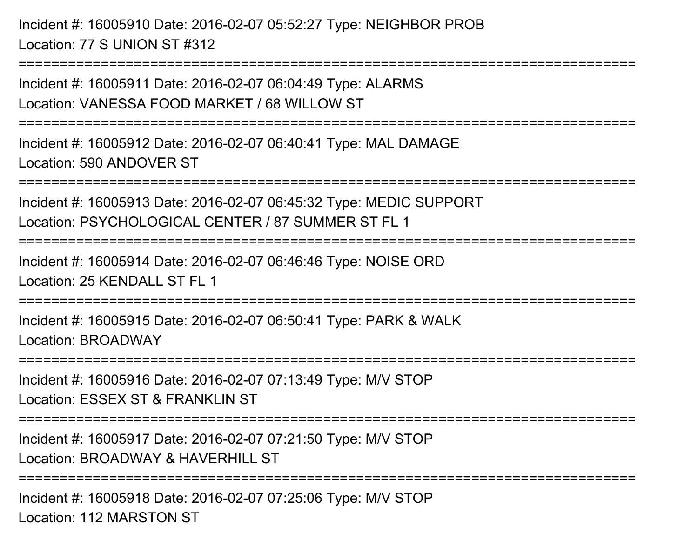Incident #: 16005910 Date: 2016-02-07 05:52:27 Type: NEIGHBOR PROBLocation: 77 S UNION ST #312

Incident #: 16005911 Date: 2016-02-07 06:04:49 Type: ALARMSLocation: VANESSA FOOD MARKET / 68 WILLOW ST

===========================================================================

===========================================================================

Incident #: 16005912 Date: 2016-02-07 06:40:41 Type: MAL DAMAGELocation: 590 ANDOVER ST

===========================================================================

Incident #: 16005913 Date: 2016-02-07 06:45:32 Type: MEDIC SUPPORTLocation: PSYCHOLOGICAL CENTER / 87 SUMMER ST FL 1

===========================================================================

Incident #: 16005914 Date: 2016-02-07 06:46:46 Type: NOISE ORDLocation: 25 KENDALL ST FL 1

=============================

Incident #: 16005915 Date: 2016-02-07 06:50:41 Type: PARK & WALKLocation: BROADWAY

===========================================================================

Incident #: 16005916 Date: 2016-02-07 07:13:49 Type: M/V STOP

Location: ESSEX ST & FRANKLIN ST

===========================================================================

Incident #: 16005917 Date: 2016-02-07 07:21:50 Type: M/V STOP

Location: BROADWAY & HAVERHILL ST

===========================================================================

Incident #: 16005918 Date: 2016-02-07 07:25:06 Type: M/V STOPLocation: 112 MARSTON ST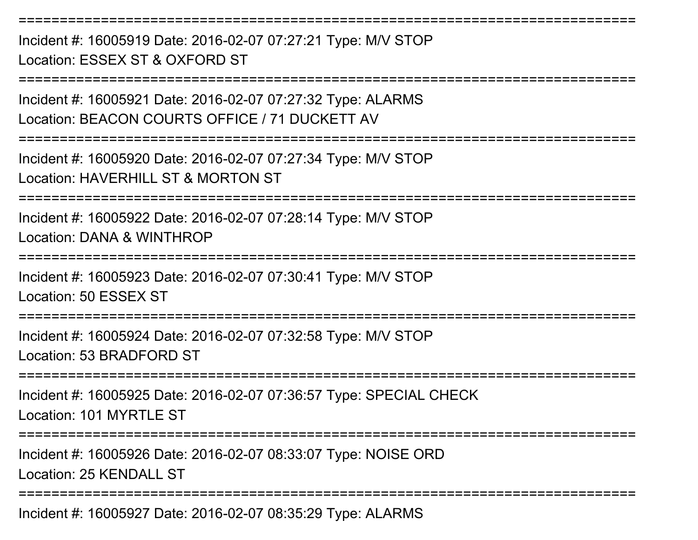Incident #: 16005919 Date: 2016-02-07 07:27:21 Type: M/V STOPLocation: ESSEX ST & OXFORD ST===========================================================================Incident #: 16005921 Date: 2016-02-07 07:27:32 Type: ALARMSLocation: BEACON COURTS OFFICE / 71 DUCKETT AV===========================================================================Incident #: 16005920 Date: 2016-02-07 07:27:34 Type: M/V STOPLocation: HAVERHILL ST & MORTON ST ===========================================================================Incident #: 16005922 Date: 2016-02-07 07:28:14 Type: M/V STOPLocation: DANA & WINTHROP===========================================================================Incident #: 16005923 Date: 2016-02-07 07:30:41 Type: M/V STOPLocation: 50 ESSEX ST===========================================================================Incident #: 16005924 Date: 2016-02-07 07:32:58 Type: M/V STOPLocation: 53 BRADFORD ST===========================================================================Incident #: 16005925 Date: 2016-02-07 07:36:57 Type: SPECIAL CHECKLocation: 101 MYRTLE ST ===========================================================================Incident #: 16005926 Date: 2016-02-07 08:33:07 Type: NOISE ORDLocation: 25 KENDALL ST===========================================================================

===========================================================================

Incident #: 16005927 Date: 2016-02-07 08:35:29 Type: ALARMS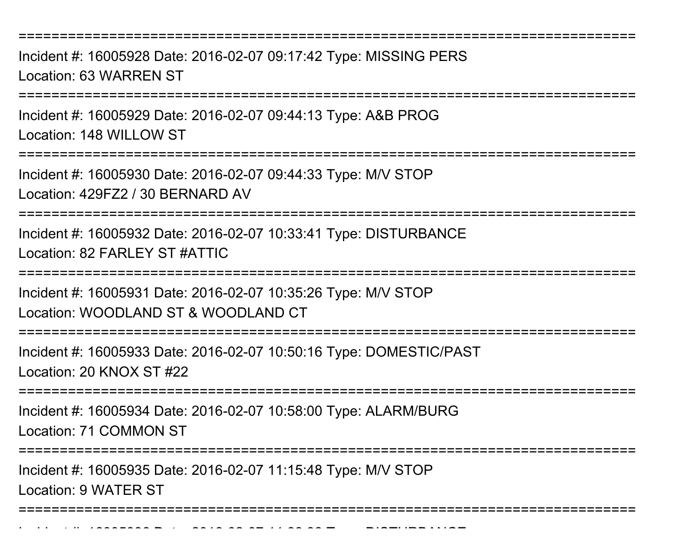Incident #: 16005928 Date: 2016-02-07 09:17:42 Type: MISSING PERSLocation: 63 WARREN ST

===========================================================================

Incident #: 16005929 Date: 2016-02-07 09:44:13 Type: A&B PROGLocation: 148 WILLOW ST

===========================================================================

Incident #: 16005930 Date: 2016-02-07 09:44:33 Type: M/V STOP

Location: 429FZ2 / 30 BERNARD AV

===========================================================================

Incident #: 16005932 Date: 2016-02-07 10:33:41 Type: DISTURBANCELocation: 82 FARLEY ST #ATTIC

===========================================================================

Incident #: 16005931 Date: 2016-02-07 10:35:26 Type: M/V STOPLocation: WOODLAND ST & WOODLAND CT

===========================================================================

Incident #: 16005933 Date: 2016-02-07 10:50:16 Type: DOMESTIC/PASTLocation: 20 KNOX ST #22

===========================================================================

Incident #: 16005934 Date: 2016-02-07 10:58:00 Type: ALARM/BURG

Location: 71 COMMON ST

===========================================================================

Incident #: 16005935 Date: 2016-02-07 11:15:48 Type: M/V STOP

Location: 9 WATER ST

===========================================================================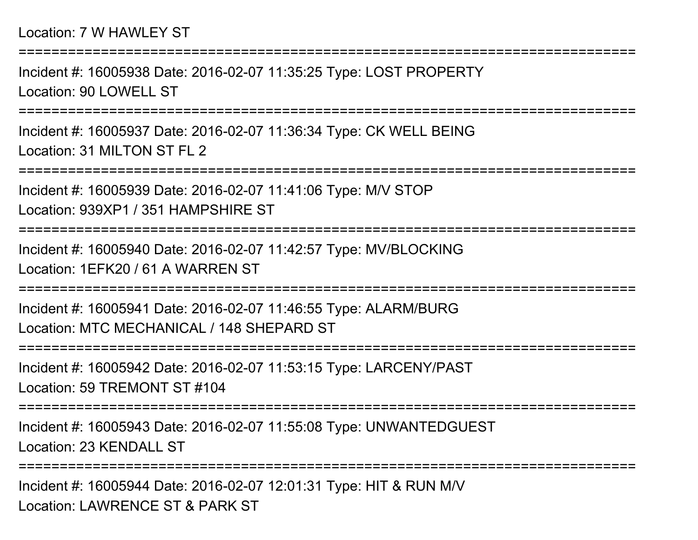## Location: 7 W HAWLEY ST

Incident #: 16005938 Date: 2016-02-07 11:35:25 Type: LOST PROPERTYLocation: 90 LOWELL ST

===========================================================================

===========================================================================

Incident #: 16005937 Date: 2016-02-07 11:36:34 Type: CK WELL BEINGLocation: 31 MILTON ST FL 2

===========================================================================

Incident #: 16005939 Date: 2016-02-07 11:41:06 Type: M/V STOPLocation: 939XP1 / 351 HAMPSHIRE ST

===========================================================================

Incident #: 16005940 Date: 2016-02-07 11:42:57 Type: MV/BLOCKINGLocation: 1EFK20 / 61 A WARREN ST

===========================================================================

Incident #: 16005941 Date: 2016-02-07 11:46:55 Type: ALARM/BURGLocation: MTC MECHANICAL / 148 SHEPARD ST

===========================================================================

Incident #: 16005942 Date: 2016-02-07 11:53:15 Type: LARCENY/PASTLocation: 59 TREMONT ST #104

===========================================================================

Incident #: 16005943 Date: 2016-02-07 11:55:08 Type: UNWANTEDGUESTLocation: 23 KENDALL ST

===========================================================================

Incident #: 16005944 Date: 2016-02-07 12:01:31 Type: HIT & RUN M/VLocation: LAWRENCE ST & PARK ST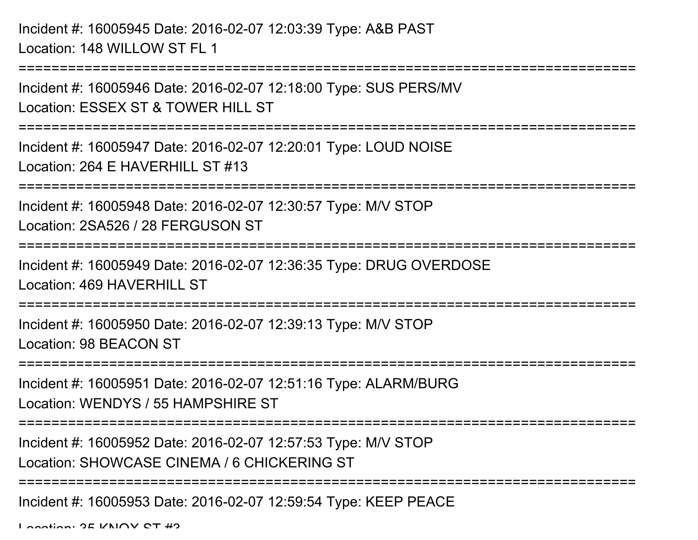Incident #: 16005945 Date: 2016-02-07 12:03:39 Type: A&B PASTLocation: 148 WILLOW ST FL 1

===========================================================================Incident #: 16005946 Date: 2016-02-07 12:18:00 Type: SUS PERS/MVLocation: ESSEX ST & TOWER HILL ST ===========================================================================Incident #: 16005947 Date: 2016-02-07 12:20:01 Type: LOUD NOISELocation: 264 E HAVERHILL ST #13===========================================================================Incident #: 16005948 Date: 2016-02-07 12:30:57 Type: M/V STOPLocation: 2SA526 / 28 FERGUSON ST===========================================================================Incident #: 16005949 Date: 2016-02-07 12:36:35 Type: DRUG OVERDOSELocation: 469 HAVERHILL ST===========================================================================Incident #: 16005950 Date: 2016-02-07 12:39:13 Type: M/V STOPLocation: 98 BEACON ST===========================================================================Incident #: 16005951 Date: 2016-02-07 12:51:16 Type: ALARM/BURGLocation: WENDYS / 55 HAMPSHIRE ST===========================================================================Incident #: 16005952 Date: 2016-02-07 12:57:53 Type: M/V STOPLocation: SHOWCASE CINEMA / 6 CHICKERING ST===========================================================================Incident #: 16005953 Date: 2016-02-07 12:59:54 Type: KEEP PEACE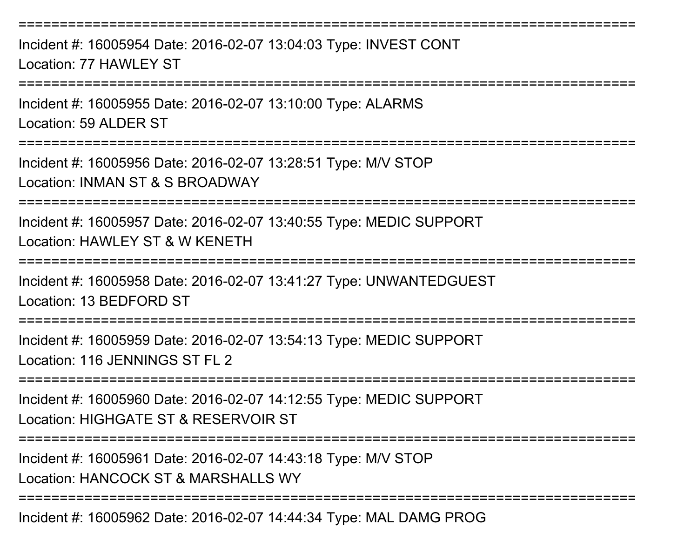===========================================================================Incident #: 16005954 Date: 2016-02-07 13:04:03 Type: INVEST CONTLocation: 77 HAWLEY ST===========================================================================Incident #: 16005955 Date: 2016-02-07 13:10:00 Type: ALARMSLocation: 59 ALDER ST ===========================================================================Incident #: 16005956 Date: 2016-02-07 13:28:51 Type: M/V STOPLocation: INMAN ST & S BROADWAY===========================================================================Incident #: 16005957 Date: 2016-02-07 13:40:55 Type: MEDIC SUPPORTLocation: HAWLEY ST & W KENETH===========================================================================Incident #: 16005958 Date: 2016-02-07 13:41:27 Type: UNWANTEDGUESTLocation: 13 BEDFORD ST===========================================================================Incident #: 16005959 Date: 2016-02-07 13:54:13 Type: MEDIC SUPPORTLocation: 116 JENNINGS ST FL 2===========================================================================Incident #: 16005960 Date: 2016-02-07 14:12:55 Type: MEDIC SUPPORTLocation: HIGHGATE ST & RESERVOIR ST===========================================================================Incident #: 16005961 Date: 2016-02-07 14:43:18 Type: M/V STOPLocation: HANCOCK ST & MARSHALLS WY

===========================================================================

Incident #: 16005962 Date: 2016-02-07 14:44:34 Type: MAL DAMG PROG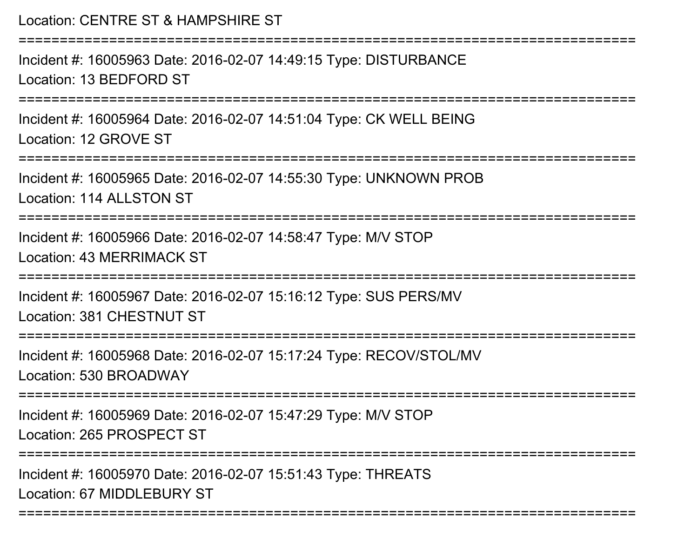| Location: CENTRE ST & HAMPSHIRE ST                                                                |
|---------------------------------------------------------------------------------------------------|
| Incident #: 16005963 Date: 2016-02-07 14:49:15 Type: DISTURBANCE<br>Location: 13 BEDFORD ST       |
| Incident #: 16005964 Date: 2016-02-07 14:51:04 Type: CK WELL BEING<br>Location: 12 GROVE ST       |
| Incident #: 16005965 Date: 2016-02-07 14:55:30 Type: UNKNOWN PROB<br>Location: 114 ALLSTON ST     |
| Incident #: 16005966 Date: 2016-02-07 14:58:47 Type: M/V STOP<br><b>Location: 43 MERRIMACK ST</b> |
| Incident #: 16005967 Date: 2016-02-07 15:16:12 Type: SUS PERS/MV<br>Location: 381 CHESTNUT ST     |
| Incident #: 16005968 Date: 2016-02-07 15:17:24 Type: RECOV/STOL/MV<br>Location: 530 BROADWAY      |
| Incident #: 16005969 Date: 2016-02-07 15:47:29 Type: M/V STOP<br>Location: 265 PROSPECT ST        |
| Incident #: 16005970 Date: 2016-02-07 15:51:43 Type: THREATS<br>Location: 67 MIDDLEBURY ST        |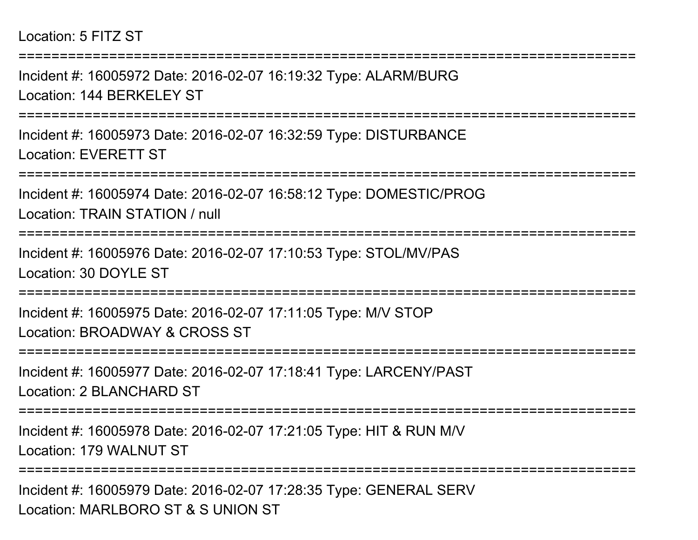## Location: 5 FITZ ST

===========================================================================Incident #: 16005972 Date: 2016-02-07 16:19:32 Type: ALARM/BURGLocation: 144 BERKELEY ST ===========================================================================Incident #: 16005973 Date: 2016-02-07 16:32:59 Type: DISTURBANCELocation: EVERETT ST===========================================================================Incident #: 16005974 Date: 2016-02-07 16:58:12 Type: DOMESTIC/PROGLocation: TRAIN STATION / null===========================================================================Incident #: 16005976 Date: 2016-02-07 17:10:53 Type: STOL/MV/PASLocation: 30 DOYLE ST===========================================================================Incident #: 16005975 Date: 2016-02-07 17:11:05 Type: M/V STOPLocation: BROADWAY & CROSS ST**===============** Incident #: 16005977 Date: 2016-02-07 17:18:41 Type: LARCENY/PASTLocation: 2 BLANCHARD ST===========================================================================Incident #: 16005978 Date: 2016-02-07 17:21:05 Type: HIT & RUN M/VLocation: 179 WALNUT ST===========================================================================Incident #: 16005979 Date: 2016-02-07 17:28:35 Type: GENERAL SERVLocation: MARLBORO ST & S UNION ST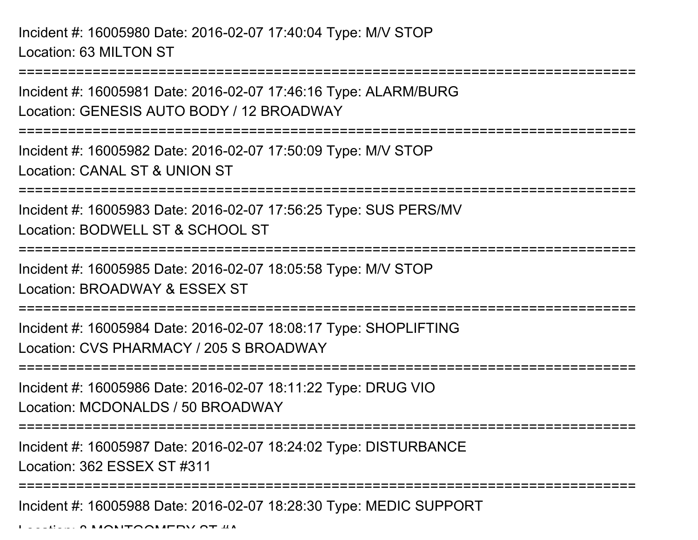Incident #: 16005980 Date: 2016-02-07 17:40:04 Type: M/V STOPLocation: 63 MILTON ST

===========================================================================

Incident #: 16005981 Date: 2016-02-07 17:46:16 Type: ALARM/BURGLocation: GENESIS AUTO BODY / 12 BROADWAY

===========================================================================

Incident #: 16005982 Date: 2016-02-07 17:50:09 Type: M/V STOPLocation: CANAL ST & UNION ST

===========================================================================

Incident #: 16005983 Date: 2016-02-07 17:56:25 Type: SUS PERS/MVLocation: BODWELL ST & SCHOOL ST

===========================================================================

Incident #: 16005985 Date: 2016-02-07 18:05:58 Type: M/V STOPLocation: BROADWAY & ESSEX ST

===========================================================================

Incident #: 16005984 Date: 2016-02-07 18:08:17 Type: SHOPLIFTINGLocation: CVS PHARMACY / 205 S BROADWAY

===========================================================================

Incident #: 16005986 Date: 2016-02-07 18:11:22 Type: DRUG VIOLocation: MCDONALDS / 50 BROADWAY

===========================================================================

Incident #: 16005987 Date: 2016-02-07 18:24:02 Type: DISTURBANCE

Location: 362 ESSEX ST #311

===========================================================================

Incident #: 16005988 Date: 2016-02-07 18:28:30 Type: MEDIC SUPPORT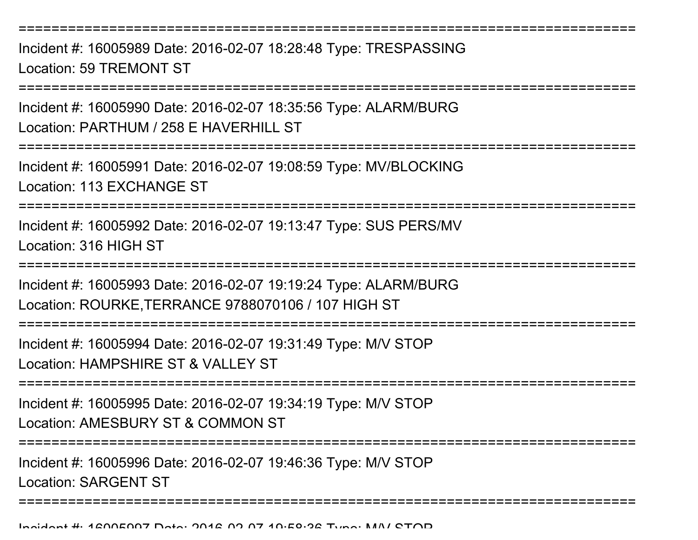Incident #: 16005989 Date: 2016-02-07 18:28:48 Type: TRESPASSINGLocation: 59 TREMONT ST

===========================================================================

Incident #: 16005990 Date: 2016-02-07 18:35:56 Type: ALARM/BURGLocation: PARTHUM / 258 E HAVERHILL ST

===========================================================================

Incident #: 16005991 Date: 2016-02-07 19:08:59 Type: MV/BLOCKINGLocation: 113 EXCHANGE ST

===========================================================================

Incident #: 16005992 Date: 2016-02-07 19:13:47 Type: SUS PERS/MVLocation: 316 HIGH ST

=========================

Incident #: 16005993 Date: 2016-02-07 19:19:24 Type: ALARM/BURGLocation: ROURKE,TERRANCE 9788070106 / 107 HIGH ST

===========================================================================

Incident #: 16005994 Date: 2016-02-07 19:31:49 Type: M/V STOPLocation: HAMPSHIRF ST & VALLEY ST

===========================================================================

Incident #: 16005995 Date: 2016-02-07 19:34:19 Type: M/V STOPLocation: AMESBURY ST & COMMON ST

===========================================================================

Incident #: 16005996 Date: 2016-02-07 19:46:36 Type: M/V STOPLocation: SARGENT ST

===========================================================================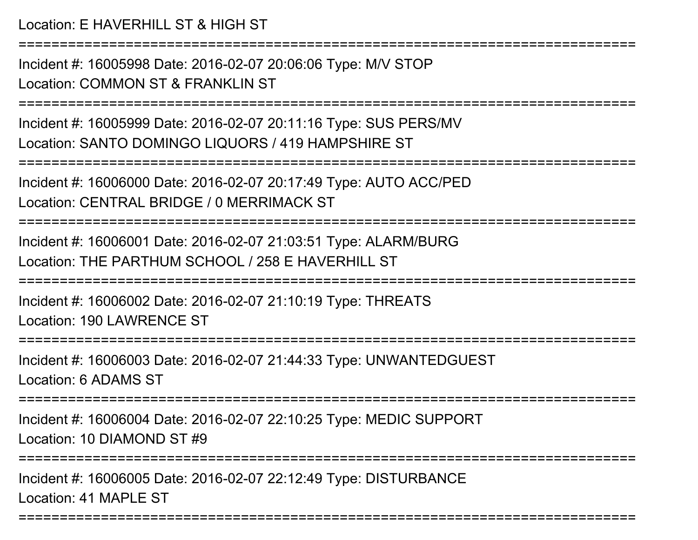Incident #: 16005998 Date: 2016-02-07 20:06:06 Type: M/V STOPLocation: COMMON ST & FRANKLIN ST

===========================================================================

Incident #: 16005999 Date: 2016-02-07 20:11:16 Type: SUS PERS/MVLocation: SANTO DOMINGO LIQUORS / 419 HAMPSHIRE ST

===========================================================================

Incident #: 16006000 Date: 2016-02-07 20:17:49 Type: AUTO ACC/PEDLocation: CENTRAL BRIDGE / 0 MERRIMACK ST

===========================================================================

Incident #: 16006001 Date: 2016-02-07 21:03:51 Type: ALARM/BURGLocation: THE PARTHUM SCHOOL / 258 F HAVERHILL ST

===========================================================================

Incident #: 16006002 Date: 2016-02-07 21:10:19 Type: THREATSLocation: 190 LAWRENCE ST

===========================================================================

Incident #: 16006003 Date: 2016-02-07 21:44:33 Type: UNWANTEDGUESTLocation: 6 ADAMS ST

===========================================================================

Incident #: 16006004 Date: 2016-02-07 22:10:25 Type: MEDIC SUPPORTLocation: 10 DIAMOND ST #9

===========================================================================

===========================================================================

Incident #: 16006005 Date: 2016-02-07 22:12:49 Type: DISTURBANCELocation: 41 MAPLE ST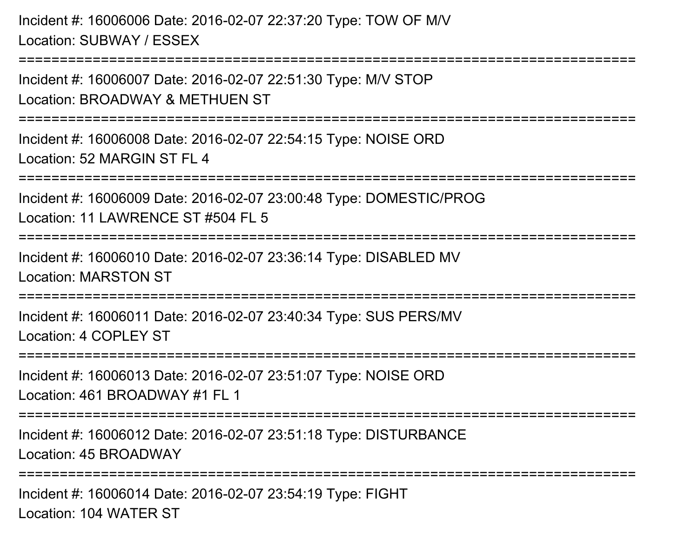Incident #: 16006006 Date: 2016-02-07 22:37:20 Type: TOW OF M/VLocation: SUBWAY / ESSEX

Incident #: 16006007 Date: 2016-02-07 22:51:30 Type: M/V STOPLocation: BROADWAY & METHUEN ST

===========================================================================

===========================================================================

Incident #: 16006008 Date: 2016-02-07 22:54:15 Type: NOISE ORDLocation: 52 MARGIN ST FL 4

===========================================================================

Incident #: 16006009 Date: 2016-02-07 23:00:48 Type: DOMESTIC/PROG

Location: 11 LAWRENCE ST #504 FL 5

```
===========================================================================
```
Incident #: 16006010 Date: 2016-02-07 23:36:14 Type: DISABLED MVLocation: MARSTON ST

===========================================================================

Incident #: 16006011 Date: 2016-02-07 23:40:34 Type: SUS PERS/MVLocation: 4 COPLEY ST

```
===========================================================================
```
Incident #: 16006013 Date: 2016-02-07 23:51:07 Type: NOISE ORDLocation: 461 BROADWAY #1 FL 1

===========================================================================

Incident #: 16006012 Date: 2016-02-07 23:51:18 Type: DISTURBANCELocation: 45 BROADWAY

===========================================================================

Incident #: 16006014 Date: 2016-02-07 23:54:19 Type: FIGHTLocation: 104 WATER ST